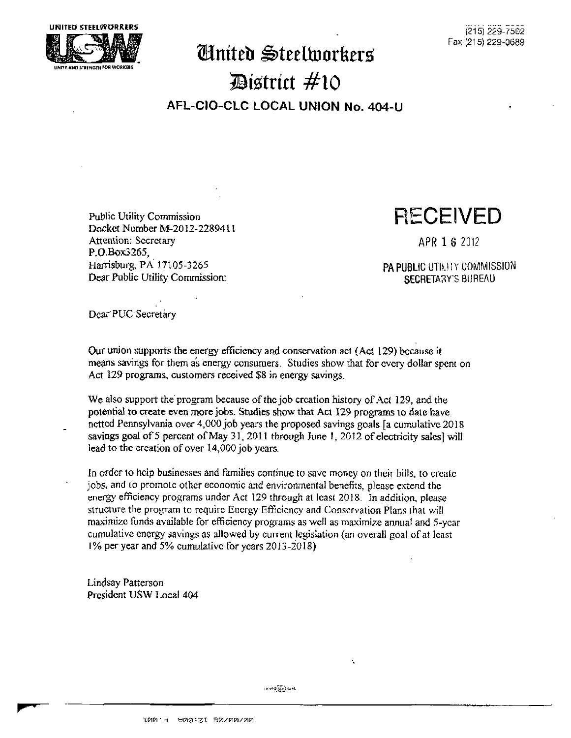

## $\mathbf{\mathcal{C}}$   $\mathbf{\mathcal{C}}$   $\mathbf{\mathcal{C}}$   $\mathbf{\mathcal{C}}$   $\mathbf{\mathcal{C}}$   $\mathbf{\mathcal{C}}$   $\mathbf{\mathcal{C}}$   $\mathbf{\mathcal{C}}$   $\mathbf{\mathcal{C}}$   $\mathbf{\mathcal{C}}$   $\mathbf{\mathcal{C}}$   $\mathbf{\mathcal{C}}$   $\mathbf{\mathcal{C}}$   $\mathbf{\mathcal{C}}$   $\mathbf{\mathcal{C}}$   $\mathbf{\mathcal{C}}$   $\mathbf{\mathcal{C}}$   $\mathbf{\mathcal{C}}$   $\mathbf{\$ **strict #10 AFL-CIO-CL C LOCA L UNION No. 404-U**

Docket Number M-20I2-2289411 Attention: Secretary APR 1 6 2012 P.O.Box3265. Harrisburg, PA 17105-3265 Dear Public Utility Commission: SECRETARY'S BUREAU

## Public Utility Commission **RECEIVED**

PA PUBLIC UTILITY COMMISSION

Dear'PUC Secretary

Our union supports the energy efficiency and conservation act (Act 129) because it means savings for them as energy consumers. Studies show that for every dollar spent on Act 129 programs, customers received \$8 in energy savings.

We also support the program because of the job creation history of Act 129, and the potential to create even more jobs. Studies show that Act 129 programs to date have netted Pennsylvania over 4,000 job years the proposed savings goals [a cumulative 2018 savings goal of 5 percent of May 31, 2011 through June 1, 2012 of electricity sales) will lead to the creation of over 14,000 job years.

In order to help businesses and families continue to save money on their bills, to create jobs, and to promote other economic and environmental benefits, please extend the energy efficiency programs under Act 129 through at least 2018. In addition, please structure the program to require Energy Efficiency and Conservation Plans that will maximize funds available for efficiency programs as well as maximize annual and 5-ycar cumulative energy savings as allowed by current legislation (an overall goal of at least 1% per year and 5% cumulative for years 20] 3-2018)

Lindsay Patterson President USW Local 404

 $0.01323344$ 

Á